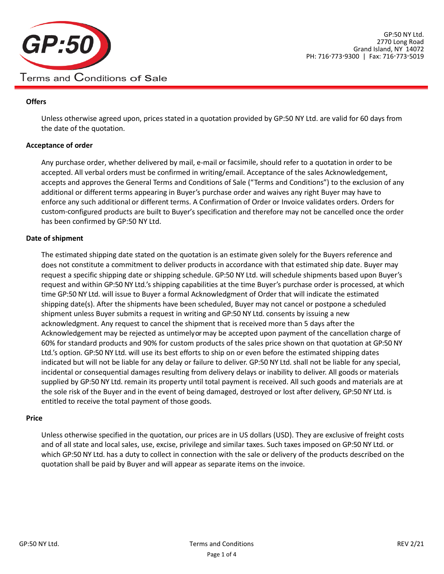

# **Offers**

Unless otherwise agreed upon, prices stated in a quotation provided by GP:50 NY Ltd. are valid for 60 days from the date of the quotation.

## **Acceptance of order**

Any purchase order, whether delivered by mail, e-mail or facsimile, should refer to a quotation in order to be accepted. All verbal orders must be confirmed in writing/email. Acceptance of the sales Acknowledgement, accepts and approves the General Terms and Conditions of Sale ("Terms and Conditions") to the exclusion of any additional or different terms appearing in Buyer's purchase order and waives any right Buyer may have to enforce any such additional or different terms. A Confirmation of Order or Invoice validates orders. Orders for custom-configured products are built to Buyer's specification and therefore may not be cancelled once the order has been confirmed by GP:50 NY Ltd.

## **Date of shipment**

The estimated shipping date stated on the quotation is an estimate given solely for the Buyers reference and does not constitute a commitment to deliver products in accordance with that estimated ship date. Buyer may request a specific shipping date or shipping schedule. GP:50 NY Ltd. will schedule shipments based upon Buyer's request and within GP:50 NY Ltd.'s shipping capabilities at the time Buyer's purchase order is processed, at which time GP:50 NY Ltd. will issue to Buyer a formal Acknowledgment of Order that will indicate the estimated shipping date(s). After the shipments have been scheduled, Buyer may not cancel or postpone a scheduled shipment unless Buyer submits a request in writing and GP:50 NY Ltd. consents by issuing a new acknowledgment. Any request to cancel the shipment that is received more than 5 days after the Acknowledgement may be rejected as untimelyormay be accepted upon payment of the cancellation charge of 60% for standard products and 90% for custom products of the sales price shown on that quotation at GP:50 NY Ltd.'s option. GP:50 NY Ltd. will use its best efforts to ship on or even before the estimated shipping dates indicated but will not be liable for any delay or failure to deliver. GP:50 NY Ltd. shall not be liable for any special, incidental or consequential damages resulting from delivery delays or inability to deliver. All goods or materials supplied by GP:50 NY Ltd. remain its property until total payment is received. All such goods and materials are at the sole risk of the Buyer and in the event of being damaged, destroyed or lost after delivery, GP:50 NY Ltd. is entitled to receive the total payment of those goods.

#### **Price**

Unless otherwise specified in the quotation, our prices are in US dollars (USD). They are exclusive of freight costs and of all state and local sales, use, excise, privilege and similar taxes. Such taxes imposed on GP:50 NY Ltd. or which GP:50 NY Ltd. has a duty to collect in connection with the sale or delivery of the products described on the quotation shall be paid by Buyer and will appear as separate items on the invoice.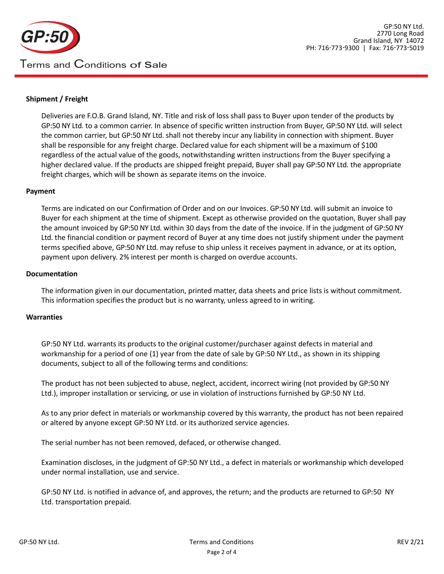

# **Shipment / Freight**

Deliveries are F.O.B. Grand Island, NY. Title and risk of loss shall pass to Buyer upon tender of the products by GP:50 NY Ltd. to a common carrier. In absence of specific written instruction from Buyer, GP:50 NY Ltd. will select the common carrier, but GP:50 NY Ltd. shall not thereby incur any liability in connection with shipment. Buyer shall be responsible for any freight charge. Declared value for each shipment will be a maximum of \$100 regardless of the actual value of the goods, notwithstanding written instructions from the Buyer specifying a higher declared value. If the products are shipped freight prepaid, Buyer shall pay GP:50 NY Ltd. the appropriate freight charges, which will be shown as separate items on the invoice.

## **Payment**

Terms are indicated on our Confirmation of Order and on our Invoices. GP:50 NY Ltd. will submit an invoice to Buyer for each shipment at the time of shipment. Except as otherwise provided on the quotation, Buyer shall pay the amount invoiced by GP:50 NY Ltd. within 30 days from the date of the invoice. If in the judgment of GP:50 NY Ltd. the financial condition or payment record of Buyer at any time does not justify shipment under the payment terms specified above, GP:50 NY Ltd. may refuse to ship unless it receives payment in advance, or at its option, payment upon delivery. 2% interest per month is charged on overdue accounts.

## **Documentation**

The information given in our documentation, printed matter, data sheets and price lists is without commitment. This information specifies the product but is no warranty, unless agreed to in writing.

#### **Warranties**

GP:50 NY Ltd. warrants its products to the original customer/purchaser against defects in material and workmanship for a period of one (1) year from the date of sale by GP:50 NY Ltd., as shown in its shipping documents, subject to all of the following terms and conditions:

The product has not been subjected to abuse, neglect, accident, incorrect wiring (not provided by GP:50 NY Ltd.), improper installation or servicing, or use in violation of instructions furnished by GP:50 NY Ltd.

As to any prior defect in materials or workmanship covered by this warranty, the product has not been repaired or altered by anyone except GP:50 NY Ltd. or its authorized service agencies.

The serial number has not been removed, defaced, or otherwise changed.

Examination discloses, in the judgment of GP:50 NY Ltd., a defect in materials or workmanship which developed under normal installation, use and service.

GP:50 NY Ltd. is notified in advance of, and approves, the return; and the products are returned to GP:50 NY Ltd. transportation prepaid.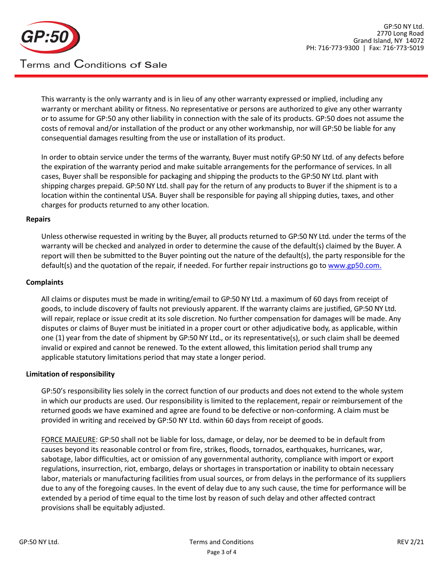

This warranty is the only warranty and is in lieu of any other warranty expressed or implied, including any warranty or merchant ability or fitness. No representative or persons are authorized to give any other warranty or to assume for GP:50 any other liability in connection with the sale of its products. GP:50 does not assume the costs of removal and/or installation of the product or any other workmanship, nor will GP:50 be liable for any consequential damages resulting from the use or installation of its product.

In order to obtain service under the terms of the warranty, Buyer must notify GP:50 NY Ltd. of any defects before the expiration of the warranty period and make suitable arrangements for the performance of services. In all cases, Buyer shall be responsible for packaging and shipping the products to the GP:50 NY Ltd. plant with shipping charges prepaid. GP:50 NY Ltd. shall pay for the return of any products to Buyer if the shipment is to a location within the continental USA. Buyer shall be responsible for paying all shipping duties, taxes, and other charges for products returned to any other location.

#### **Repairs**

Unless otherwise requested in writing by the Buyer, all products returned to GP:50 NY Ltd. under the terms of the warranty will be checked and analyzed in order to determine the cause of the default(s) claimed by the Buyer. A report will then be submitted to the Buyer pointing out the nature of the default(s), the party responsible for the default(s) and the quotation of the repair, if needed. For further repair instructions go t[o www.gp50.com.](http://www.gp50.com./)

## **Complaints**

All claims or disputes must be made in writing/email to GP:50 NY Ltd. a maximum of 60 days from receipt of goods, to include discovery of faults not previously apparent. If the warranty claims are justified, GP:50 NY Ltd. will repair, replace or issue credit at its sole discretion. No further compensation for damages will be made. Any disputes or claims of Buyer must be initiated in a proper court or other adjudicative body, as applicable, within one (1) year from the date of shipment by GP:50 NY Ltd., or its representative(s), or such claim shall be deemed invalid or expired and cannot be renewed. To the extent allowed, this limitation period shall trump any applicable statutory limitations period that may state a longer period.

#### **Limitation of responsibility**

GP:50's responsibility lies solely in the correct function of our products and does not extend to the whole system in which our products are used. Our responsibility is limited to the replacement, repair or reimbursement of the returned goods we have examined and agree are found to be defective or non-conforming. A claim must be provided in writing and received by GP:50 NY Ltd. within 60 days from receipt of goods.

FORCE MAJEURE: GP:50 shall not be liable for loss, damage, or delay, nor be deemed to be in default from causes beyond its reasonable control or from fire, strikes, floods, tornados, earthquakes, hurricanes, war, sabotage, labor difficulties, act or omission of any governmental authority, compliance with import or export regulations, insurrection, riot, embargo, delays or shortages in transportation or inability to obtain necessary labor, materials or manufacturing facilities from usual sources, or from delays in the performance of its suppliers due to any of the foregoing causes. In the event of delay due to any such cause, the time for performance will be extended by a period of time equal to the time lost by reason of such delay and other affected contract provisions shall be equitably adjusted.